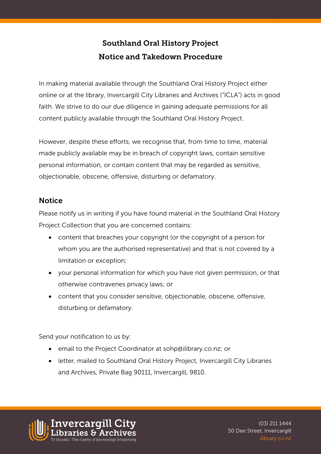## Southland Oral History Project Notice and Takedown Procedure

In making material available through the Southland Oral History Project either online or at the library, Invercargill City Libraries and Archives ("ICLA") acts in good faith. We strive to do our due diligence in gaining adequate permissions for all content publicly available through the Southland Oral History Project.

However, despite these efforts, we recognise that, from time to time, material made publicly available may be in breach of copyright laws, contain sensitive personal information, or contain content that may be regarded as sensitive, objectionable, obscene, offensive, disturbing or defamatory.

## **Notice**

Please notify us in writing if you have found material in the Southland Oral History Project Collection that you are concerned contains:

- content that breaches your copyright (or the copyright of a person for whom you are the authorised representative) and that is not covered by a limitation or exception;
- your personal information for which you have not given permission, or that otherwise contravenes privacy laws; or
- content that you consider sensitive, objectionable, obscene, offensive, disturbing or defamatory.

Send your notification to us by:

- email to the Project Coordinator at sohp@ilibrary.co.nz; or
- letter, mailed to Southland Oral History Project, Invercargill City Libraries and Archives, Private Bag 90111, Invercargill, 9810.

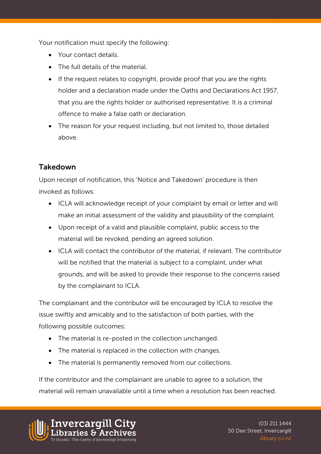Your notification must specify the following:

- Your contact details.
- The full details of the material.
- If the request relates to copyright, provide proof that you are the rights holder and a declaration made under the Oaths and Declarations Act 1957, that you are the rights holder or authorised representative. It is a criminal offence to make a false oath or declaration.
- The reason for your request including, but not limited to, those detailed above.

## Takedown

Upon receipt of notification, this 'Notice and Takedown' procedure is then invoked as follows:

- ICLA will acknowledge receipt of your complaint by email or letter and will make an initial assessment of the validity and plausibility of the complaint.
- Upon receipt of a valid and plausible complaint, public access to the material will be revoked, pending an agreed solution.
- ICLA will contact the contributor of the material, if relevant. The contributor will be notified that the material is subject to a complaint, under what grounds, and will be asked to provide their response to the concerns raised by the complainant to ICLA.

The complainant and the contributor will be encouraged by ICLA to resolve the issue swiftly and amicably and to the satisfaction of both parties, with the following possible outcomes:

- The material is re-posted in the collection unchanged.
- The material is replaced in the collection with changes.
- The material is permanently removed from our collections.

If the contributor and the complainant are unable to agree to a solution, the material will remain unavailable until a time when a resolution has been reached.